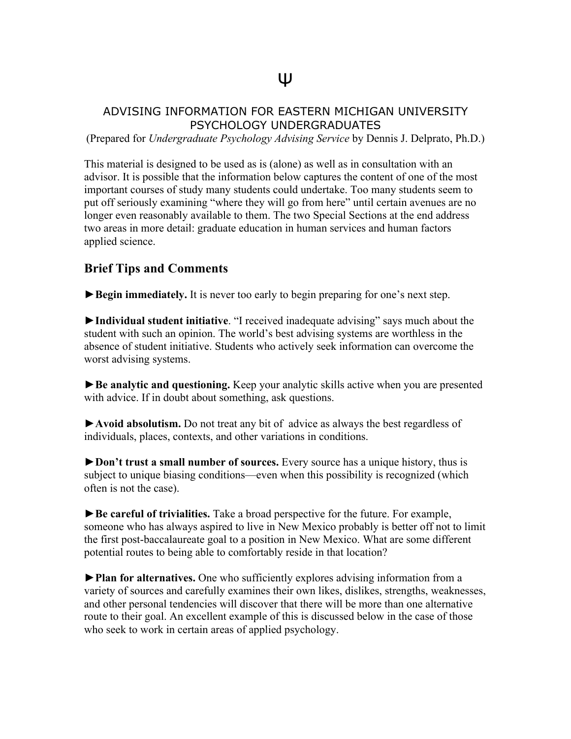## ADVISING INFORMATION FOR EASTERN MICHIGAN UNIVERSITY PSYCHOLOGY UNDERGRADUATES

(Prepared for *Undergraduate Psychology Advising Service* by Dennis J. Delprato, Ph.D.)

This material is designed to be used as is (alone) as well as in consultation with an advisor. It is possible that the information below captures the content of one of the most important courses of study many students could undertake. Too many students seem to put off seriously examining "where they will go from here" until certain avenues are no longer even reasonably available to them. The two Special Sections at the end address two areas in more detail: graduate education in human services and human factors applied science.

## **Brief Tips and Comments**

►**Begin immediately.** It is never too early to begin preparing for one's next step.

►**Individual student initiative**. "I received inadequate advising" says much about the student with such an opinion. The world's best advising systems are worthless in the absence of student initiative. Students who actively seek information can overcome the worst advising systems.

►**Be analytic and questioning.** Keep your analytic skills active when you are presented with advice. If in doubt about something, ask questions.

►**Avoid absolutism.** Do not treat any bit of advice as always the best regardless of individuals, places, contexts, and other variations in conditions.

►**Don't trust a small number of sources.** Every source has a unique history, thus is subject to unique biasing conditions—even when this possibility is recognized (which often is not the case).

►**Be careful of trivialities.** Take a broad perspective for the future. For example, someone who has always aspired to live in New Mexico probably is better off not to limit the first post-baccalaureate goal to a position in New Mexico. What are some different potential routes to being able to comfortably reside in that location?

►**Plan for alternatives.** One who sufficiently explores advising information from a variety of sources and carefully examines their own likes, dislikes, strengths, weaknesses, and other personal tendencies will discover that there will be more than one alternative route to their goal. An excellent example of this is discussed below in the case of those who seek to work in certain areas of applied psychology.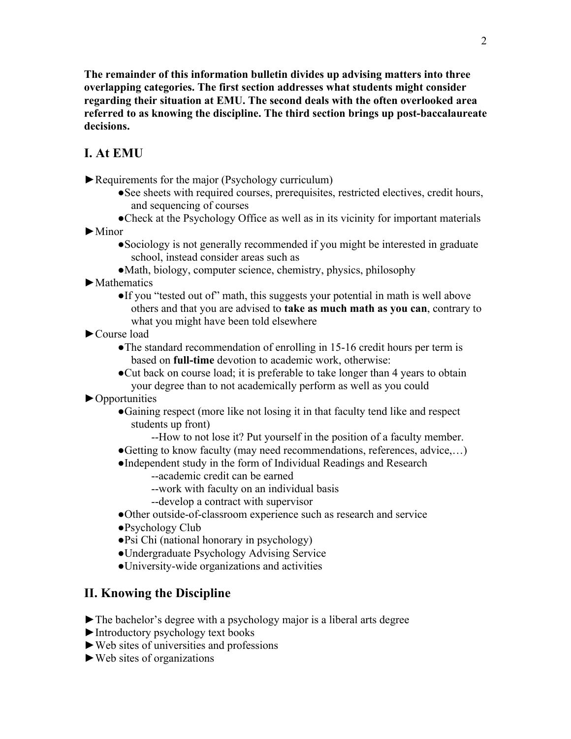**The remainder of this information bulletin divides up advising matters into three overlapping categories. The first section addresses what students might consider regarding their situation at EMU. The second deals with the often overlooked area referred to as knowing the discipline. The third section brings up post-baccalaureate decisions.**

# **I. At EMU**

►Requirements for the major (Psychology curriculum)

- ●See sheets with required courses, prerequisites, restricted electives, credit hours, and sequencing of courses
- ●Check at the Psychology Office as well as in its vicinity for important materials

►Minor

- ●Sociology is not generally recommended if you might be interested in graduate school, instead consider areas such as
- ●Math, biology, computer science, chemistry, physics, philosophy
- ►Mathematics
	- ●If you "tested out of" math, this suggests your potential in math is well above others and that you are advised to **take as much math as you can**, contrary to what you might have been told elsewhere
- ►Course load
	- The standard recommendation of enrolling in 15-16 credit hours per term is based on **full-time** devotion to academic work, otherwise:
	- ●Cut back on course load; it is preferable to take longer than 4 years to obtain your degree than to not academically perform as well as you could

►Opportunities

- ●Gaining respect (more like not losing it in that faculty tend like and respect students up front)
	- --How to not lose it? Put yourself in the position of a faculty member.
- ●Getting to know faculty (may need recommendations, references, advice,…)
- ●Independent study in the form of Individual Readings and Research
	- --academic credit can be earned
	- --work with faculty on an individual basis
	- --develop a contract with supervisor
- ●Other outside-of-classroom experience such as research and service
- ●Psychology Club
- ●Psi Chi (national honorary in psychology)
- ●Undergraduate Psychology Advising Service
- ●University-wide organizations and activities

## **II. Knowing the Discipline**

- ►The bachelor's degree with a psychology major is a liberal arts degree
- ►Introductory psychology text books
- ►Web sites of universities and professions
- $\blacktriangleright$  Web sites of organizations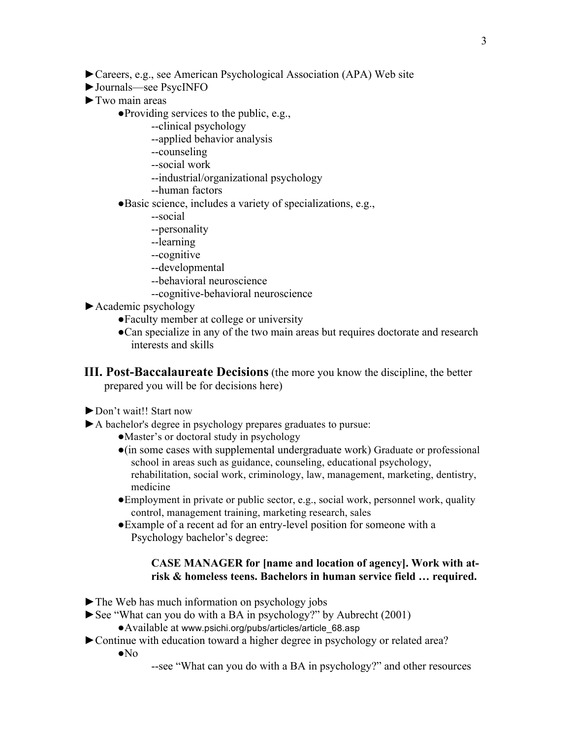- ►Careers, e.g., see American Psychological Association (APA) Web site
- ►Journals—see PsycINFO
- ►Two main areas
	- ●Providing services to the public, e.g.,
		- --clinical psychology
		- --applied behavior analysis
		- --counseling
		- --social work
		- --industrial/organizational psychology
		- --human factors
	- ●Basic science, includes a variety of specializations, e.g.,
		- --social
		- --personality
		- --learning
		- --cognitive
		- --developmental
		- --behavioral neuroscience
		- --cognitive-behavioral neuroscience
- ►Academic psychology
	- ●Faculty member at college or university
	- ●Can specialize in any of the two main areas but requires doctorate and research interests and skills
- **III. Post-Baccalaureate Decisions** (the more you know the discipline, the better prepared you will be for decisions here)
- ►Don't wait!! Start now
- ►A bachelor's degree in psychology prepares graduates to pursue:
	- ●Master's or doctoral study in psychology
	- ●(in some cases with supplemental undergraduate work) Graduate or professional school in areas such as guidance, counseling, educational psychology, rehabilitation, social work, criminology, law, management, marketing, dentistry, medicine
	- ●Employment in private or public sector, e.g., social work, personnel work, quality control, management training, marketing research, sales
	- ●Example of a recent ad for an entry-level position for someone with a Psychology bachelor's degree:

#### **CASE MANAGER for [name and location of agency]. Work with atrisk & homeless teens. Bachelors in human service field … required.**

- ►The Web has much information on psychology jobs
- ►See "What can you do with a BA in psychology?" by Aubrecht (2001)
	- ●Available at www.psichi.org/pubs/articles/article\_68.asp
- ►Continue with education toward a higher degree in psychology or related area?
	- ●No
- --see "What can you do with a BA in psychology?" and other resources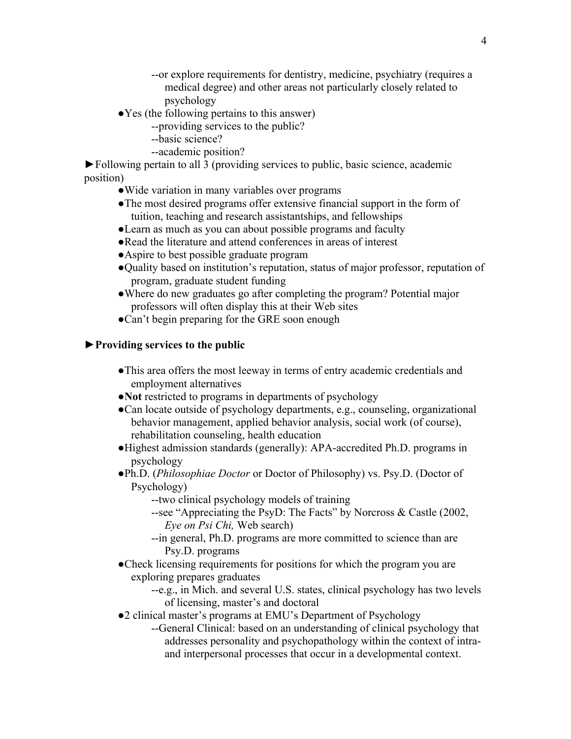- --or explore requirements for dentistry, medicine, psychiatry (requires a medical degree) and other areas not particularly closely related to psychology
- ●Yes (the following pertains to this answer)
	- --providing services to the public?
	- --basic science?
	- --academic position?

►Following pertain to all 3 (providing services to public, basic science, academic position)

- ●Wide variation in many variables over programs
- ●The most desired programs offer extensive financial support in the form of tuition, teaching and research assistantships, and fellowships
- ●Learn as much as you can about possible programs and faculty
- ●Read the literature and attend conferences in areas of interest
- ●Aspire to best possible graduate program
- ●Quality based on institution's reputation, status of major professor, reputation of program, graduate student funding
- ●Where do new graduates go after completing the program? Potential major professors will often display this at their Web sites
- ●Can't begin preparing for the GRE soon enough

### ►**Providing services to the public**

- ●This area offers the most leeway in terms of entry academic credentials and employment alternatives
- ●**Not** restricted to programs in departments of psychology
- ●Can locate outside of psychology departments, e.g., counseling, organizational behavior management, applied behavior analysis, social work (of course), rehabilitation counseling, health education
- ●Highest admission standards (generally): APA-accredited Ph.D. programs in psychology
- ●Ph.D. (*Philosophiae Doctor* or Doctor of Philosophy) vs. Psy.D. (Doctor of Psychology)
	- --two clinical psychology models of training
	- --see "Appreciating the PsyD: The Facts" by Norcross & Castle (2002, *Eye on Psi Chi,* Web search)
	- --in general, Ph.D. programs are more committed to science than are Psy.D. programs
- ●Check licensing requirements for positions for which the program you are exploring prepares graduates
	- --e.g., in Mich. and several U.S. states, clinical psychology has two levels of licensing, master's and doctoral
- ●2 clinical master's programs at EMU's Department of Psychology
	- --General Clinical: based on an understanding of clinical psychology that addresses personality and psychopathology within the context of intraand interpersonal processes that occur in a developmental context.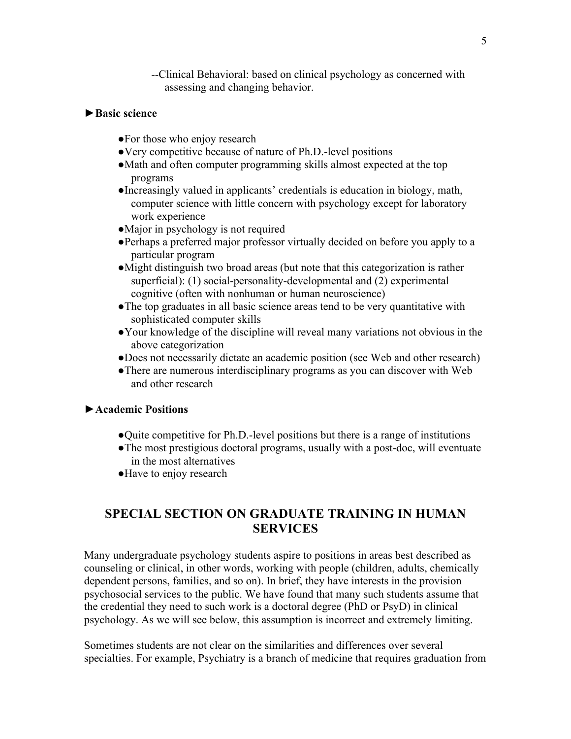--Clinical Behavioral: based on clinical psychology as concerned with assessing and changing behavior.

### ►**Basic science**

- ●For those who enjoy research
- ●Very competitive because of nature of Ph.D.-level positions
- ●Math and often computer programming skills almost expected at the top programs
- ●Increasingly valued in applicants' credentials is education in biology, math, computer science with little concern with psychology except for laboratory work experience
- Major in psychology is not required
- ●Perhaps a preferred major professor virtually decided on before you apply to a particular program
- ●Might distinguish two broad areas (but note that this categorization is rather superficial): (1) social-personality-developmental and (2) experimental cognitive (often with nonhuman or human neuroscience)
- ●The top graduates in all basic science areas tend to be very quantitative with sophisticated computer skills
- ●Your knowledge of the discipline will reveal many variations not obvious in the above categorization
- ●Does not necessarily dictate an academic position (see Web and other research)
- ●There are numerous interdisciplinary programs as you can discover with Web and other research

#### ►**Academic Positions**

- ●Quite competitive for Ph.D.-level positions but there is a range of institutions
- ●The most prestigious doctoral programs, usually with a post-doc, will eventuate in the most alternatives
- ●Have to enjoy research

# **SPECIAL SECTION ON GRADUATE TRAINING IN HUMAN SERVICES**

Many undergraduate psychology students aspire to positions in areas best described as counseling or clinical, in other words, working with people (children, adults, chemically dependent persons, families, and so on). In brief, they have interests in the provision psychosocial services to the public. We have found that many such students assume that the credential they need to such work is a doctoral degree (PhD or PsyD) in clinical psychology. As we will see below, this assumption is incorrect and extremely limiting.

Sometimes students are not clear on the similarities and differences over several specialties. For example, Psychiatry is a branch of medicine that requires graduation from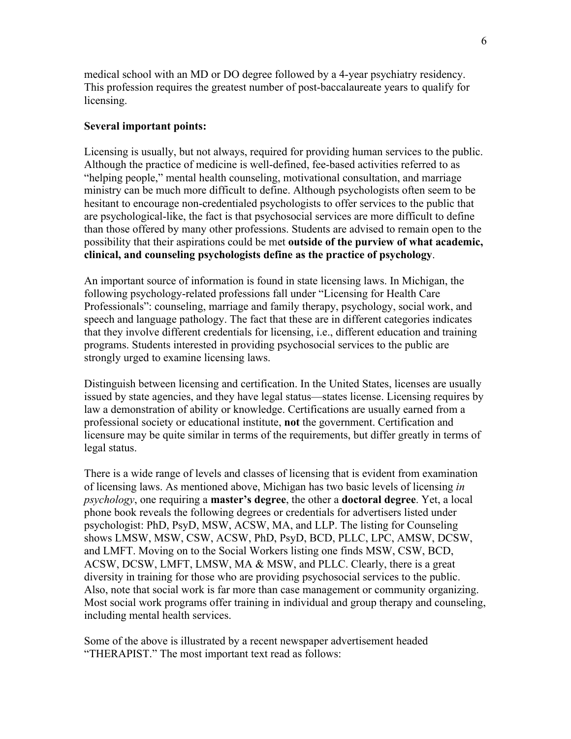medical school with an MD or DO degree followed by a 4-year psychiatry residency. This profession requires the greatest number of post-baccalaureate years to qualify for licensing.

#### **Several important points:**

Licensing is usually, but not always, required for providing human services to the public. Although the practice of medicine is well-defined, fee-based activities referred to as "helping people," mental health counseling, motivational consultation, and marriage ministry can be much more difficult to define. Although psychologists often seem to be hesitant to encourage non-credentialed psychologists to offer services to the public that are psychological-like, the fact is that psychosocial services are more difficult to define than those offered by many other professions. Students are advised to remain open to the possibility that their aspirations could be met **outside of the purview of what academic, clinical, and counseling psychologists define as the practice of psychology**.

An important source of information is found in state licensing laws. In Michigan, the following psychology-related professions fall under "Licensing for Health Care Professionals": counseling, marriage and family therapy, psychology, social work, and speech and language pathology. The fact that these are in different categories indicates that they involve different credentials for licensing, i.e., different education and training programs. Students interested in providing psychosocial services to the public are strongly urged to examine licensing laws.

Distinguish between licensing and certification. In the United States, licenses are usually issued by state agencies, and they have legal status—states license. Licensing requires by law a demonstration of ability or knowledge. Certifications are usually earned from a professional society or educational institute, **not** the government. Certification and licensure may be quite similar in terms of the requirements, but differ greatly in terms of legal status.

There is a wide range of levels and classes of licensing that is evident from examination of licensing laws. As mentioned above, Michigan has two basic levels of licensing *in psychology*, one requiring a **master's degree**, the other a **doctoral degree**. Yet, a local phone book reveals the following degrees or credentials for advertisers listed under psychologist: PhD, PsyD, MSW, ACSW, MA, and LLP. The listing for Counseling shows LMSW, MSW, CSW, ACSW, PhD, PsyD, BCD, PLLC, LPC, AMSW, DCSW, and LMFT. Moving on to the Social Workers listing one finds MSW, CSW, BCD, ACSW, DCSW, LMFT, LMSW, MA & MSW, and PLLC. Clearly, there is a great diversity in training for those who are providing psychosocial services to the public. Also, note that social work is far more than case management or community organizing. Most social work programs offer training in individual and group therapy and counseling, including mental health services.

Some of the above is illustrated by a recent newspaper advertisement headed "THERAPIST." The most important text read as follows: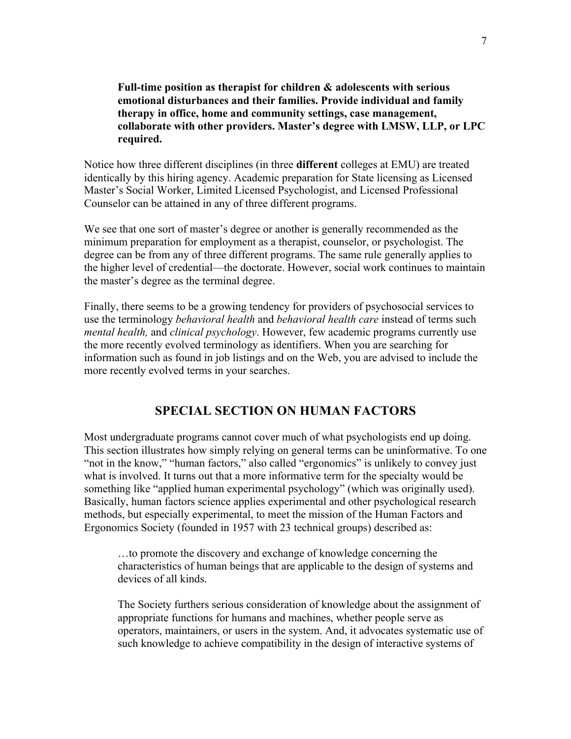**Full-time position as therapist for children & adolescents with serious emotional disturbances and their families. Provide individual and family therapy in office, home and community settings, case management, collaborate with other providers. Master's degree with LMSW, LLP, or LPC required.** 

Notice how three different disciplines (in three **different** colleges at EMU) are treated identically by this hiring agency. Academic preparation for State licensing as Licensed Master's Social Worker, Limited Licensed Psychologist, and Licensed Professional Counselor can be attained in any of three different programs.

We see that one sort of master's degree or another is generally recommended as the minimum preparation for employment as a therapist, counselor, or psychologist. The degree can be from any of three different programs. The same rule generally applies to the higher level of credential—the doctorate. However, social work continues to maintain the master's degree as the terminal degree.

Finally, there seems to be a growing tendency for providers of psychosocial services to use the terminology *behavioral health* and *behavioral health care* instead of terms such *mental health,* and *clinical psychology*. However, few academic programs currently use the more recently evolved terminology as identifiers. When you are searching for information such as found in job listings and on the Web, you are advised to include the more recently evolved terms in your searches.

## **SPECIAL SECTION ON HUMAN FACTORS**

Most undergraduate programs cannot cover much of what psychologists end up doing. This section illustrates how simply relying on general terms can be uninformative. To one "not in the know," "human factors," also called "ergonomics" is unlikely to convey just what is involved. It turns out that a more informative term for the specialty would be something like "applied human experimental psychology" (which was originally used). Basically, human factors science applies experimental and other psychological research methods, but especially experimental, to meet the mission of the Human Factors and Ergonomics Society (founded in 1957 with 23 technical groups) described as:

…to promote the discovery and exchange of knowledge concerning the characteristics of human beings that are applicable to the design of systems and devices of all kinds.

The Society furthers serious consideration of knowledge about the assignment of appropriate functions for humans and machines, whether people serve as operators, maintainers, or users in the system. And, it advocates systematic use of such knowledge to achieve compatibility in the design of interactive systems of